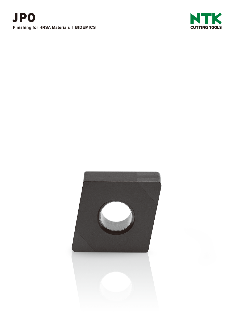



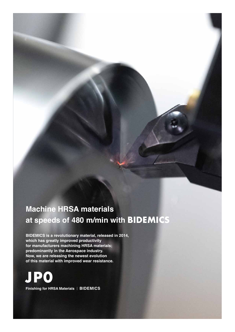# **Machine HRSA materials at speeds of 480 m/min with BIDEMICS**

**BIDEMICS is a revolutionary material, released in 2014, which has greatly improved productivity for manufacturers machining HRSA materials; predominantly in the Aerospace industry. Now, we are releasing the newest evolution of this material with improved wear resistance.**

**Finishing for HRSA Materials** | **BIDEMICS JP0**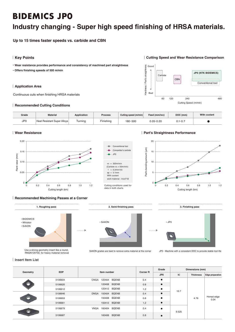# **BIDEMICS JP0**

# **Industry changing - Super high speed finishing of HRSA materials.**

**Up to 15 times faster speeds vs. carbide and CBN**

# | **Key Points**

**● Wear resistance provides performance and consistency of machined part straightness** 

**● Offers finishing speeds of 500 m/min**

# | **Application Area**

Continuous cuts when finishing HRSA materials

# | **Recommended Cutting Conditions**

| Grade           | <b>Material</b>             | Application | <b>Process</b> | Cutting speed (m/min) | Feed (mm/rev) | DOC (mm)    | With coolant |
|-----------------|-----------------------------|-------------|----------------|-----------------------|---------------|-------------|--------------|
| JP <sub>0</sub> | Heat Resistant Super Alloys | l urning    | Finishing      | 180-500               | $0.05 - 0.20$ | $0.1 - 0.7$ |              |

### | **Wear Resistance**



### Conventional tool Competitor's carbide JP0  $= 320$ m/min (Carbide vc = 50m/min)  $f = 0.2$ mm/rev  $ap = 0.1mm$ With coolant work material : Inco718 Cutting conditions used for data in both charts

### | **Part's Straightness Performance**



#### | **Recommended Machining Passes at a Corner**



Use a strong geometry insert like a round, RNGN120700, for heavy material removal



SiAION grades are best to remove extra material at the corner JP0 - Machine with a consistent DOC to provide stable tool life



| **Insert Item List**

| Geometry | <b>EDP</b> | Item number |              |                  | <b>Corner R</b> | Grade | Dimensions (mm)  |                         |  |
|----------|------------|-------------|--------------|------------------|-----------------|-------|------------------|-------------------------|--|
|          |            |             |              |                  | JP0             | IC    | <b>Thickness</b> | <b>Edge preparation</b> |  |
|          | 5106604    | <b>CNGA</b> | 120404 BQENB | 0.4              | $\bullet$       |       |                  |                         |  |
|          | 5106620    |             | 120408 BQENB | 0.8              | $\bullet$       |       |                  |                         |  |
|          | 5106612    |             | 120412 BQENB | $\bullet$<br>1.2 | 12.7            |       |                  |                         |  |
|          | 5106646    | <b>DNGA</b> | 150404 BQENB | 0.4              | $\bullet$       |       | 4.76             | Honed edge<br>0.04      |  |
|          | 5106653    |             | 150408 BQENB | 0.8              | $\bullet$       |       |                  |                         |  |
|          | 5106661    |             | 150412 BQENB | 1.2              | $\bullet$       |       |                  |                         |  |
|          | 5106679    | <b>VNGA</b> | 160404 BQENB | 0.4              | $\bullet$       | 9.525 |                  |                         |  |
|          | 5106687    |             | 160408 BQENB | 0.8              | $\bullet$       |       |                  |                         |  |

# Good Hardness / Part's straightness 60 120 240 480 Cutting Speed (m/min) Bad CBN  $C\varepsilon$ Conventional tool **JP0 (NTK BIDEMICS)**

| **Cutting Speed and Wear Resistance Comparison**